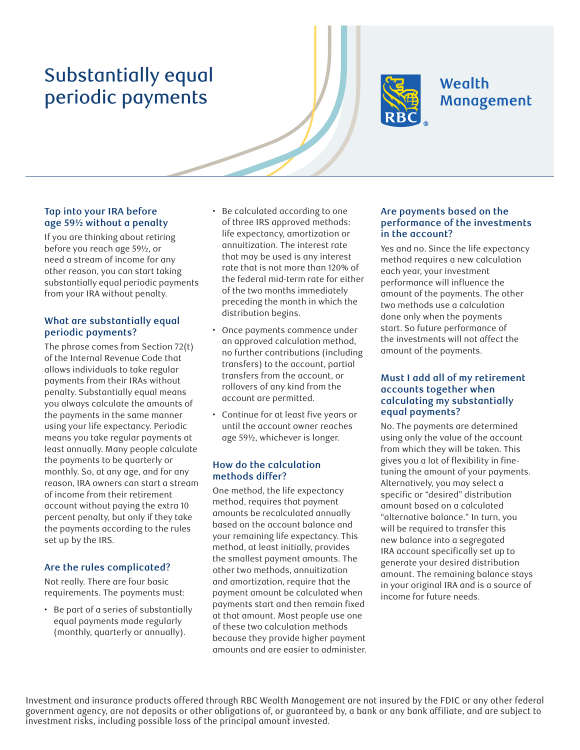# Substantially equal periodic payments



## **Wealth** Management

#### **Tap into your IRA before age 59½ without a penalty**

If you are thinking about retiring before you reach age 59½, or need a stream of income for any other reason, you can start taking substantially equal periodic payments from your IRA without penalty.

#### **What are substantially equal periodic payments?**

The phrase comes from Section 72(t) of the Internal Revenue Code that allows individuals to take regular payments from their IRAs without penalty. Substantially equal means you always calculate the amounts of the payments in the same manner using your life expectancy. Periodic means you take regular payments at least annually. Many people calculate the payments to be quarterly or monthly. So, at any age, and for any reason, IRA owners can start a stream of income from their retirement account without paying the extra 10 percent penalty, but only if they take the payments according to the rules set up by the IRS.

### **Are the rules complicated?**

Not really. There are four basic requirements. The payments must:

• Be part of a series of substantially equal payments made regularly (monthly, quarterly or annually).

- Be calculated according to one of three IRS approved methods: life expectancy, amortization or annuitization. The interest rate that may be used is any interest rate that is not more than 120% of the federal mid-term rate for either of the two months immediately preceding the month in which the distribution begins.
- Once payments commence under an approved calculation method, no further contributions (including transfers) to the account, partial transfers from the account, or rollovers of any kind from the account are permitted.
- Continue for at least five years or until the account owner reaches age 59½, whichever is longer.

#### **How do the calculation methods differ?**

One method, the life expectancy method, requires that payment amounts be recalculated annually based on the account balance and your remaining life expectancy. This method, at least initially, provides the smallest payment amounts. The other two methods, annuitization and amortization, require that the payment amount be calculated when payments start and then remain fixed at that amount. Most people use one of these two calculation methods because they provide higher payment amounts and are easier to administer.

#### **Are payments based on the performance of the investments in the account?**

Yes and no. Since the life expectancy method requires a new calculation each year, your investment performance will influence the amount of the payments. The other two methods use a calculation done only when the payments start. So future performance of the investments will not affect the amount of the payments.

#### **Must I add all of my retirement accounts together when calculating my substantially equal payments?**

No. The payments are determined using only the value of the account from which they will be taken. This gives you a lot of flexibility in finetuning the amount of your payments. Alternatively, you may select a specific or "desired" distribution amount based on a calculated "alternative balance." In turn, you will be required to transfer this new balance into a segregated IRA account specifically set up to generate your desired distribution amount. The remaining balance stays in your original IRA and is a source of income for future needs.

Investment and insurance products offered through RBC Wealth Management are not insured by the FDIC or any other federal government agency, are not deposits or other obligations of, or guaranteed by, a bank or any bank affiliate, and are subject to investment risks, including possible loss of the principal amount invested.